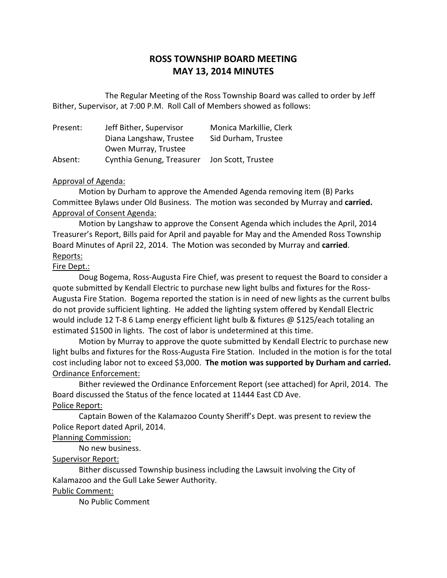## **ROSS TOWNSHIP BOARD MEETING MAY 13, 2014 MINUTES**

 Bither, Supervisor, at 7:00 P.M. Roll Call of Members showed as follows: The Regular Meeting of the Ross Township Board was called to order by Jeff

| Present: | Jeff Bither, Supervisor   | Monica Markillie, Clerk |
|----------|---------------------------|-------------------------|
|          | Diana Langshaw, Trustee   | Sid Durham, Trustee     |
|          | Owen Murray, Trustee      |                         |
| Absent:  | Cynthia Genung, Treasurer | Jon Scott, Trustee      |

#### Approval of Agenda:

 Motion by Durham to approve the Amended Agenda removing item (B) Parks Committee Bylaws under Old Business. The motion was seconded by Murray and **carried.**  Approval of Consent Agenda:

 Motion by Langshaw to approve the Consent Agenda which includes the April, 2014 Treasurer's Report, Bills paid for April and payable for May and the Amended Ross Township Board Minutes of April 22, 2014. The Motion was seconded by Murray and **carried**. Reports:

#### Fire Dept.:

 quote submitted by Kendall Electric to purchase new light bulbs and fixtures for the Ross- Augusta Fire Station. Bogema reported the station is in need of new lights as the current bulbs do not provide sufficient lighting. He added the lighting system offered by Kendall Electric would include 12 T-8 6 Lamp energy efficient light bulb & fixtures @ \$125/each totaling an estimated \$1500 in lights. The cost of labor is undetermined at this time. Doug Bogema, Ross-Augusta Fire Chief, was present to request the Board to consider a

 Motion by Murray to approve the quote submitted by Kendall Electric to purchase new light bulbs and fixtures for the Ross-Augusta Fire Station. Included in the motion is for the total cost including labor not to exceed \$3,000. **The motion was supported by Durham and carried.**  Ordinance Enforcement:

 Bither reviewed the Ordinance Enforcement Report (see attached) for April, 2014. The Board discussed the Status of the fence located at 11444 East CD Ave.

### Police Report:

 Captain Bowen of the Kalamazoo County Sheriff's Dept. was present to review the Police Report dated April, 2014.

#### Planning Commission:

No new business.

#### Supervisor Report:

 Bither discussed Township business including the Lawsuit involving the City of Kalamazoo and the Gull Lake Sewer Authority.

#### Public Comment:

No Public Comment